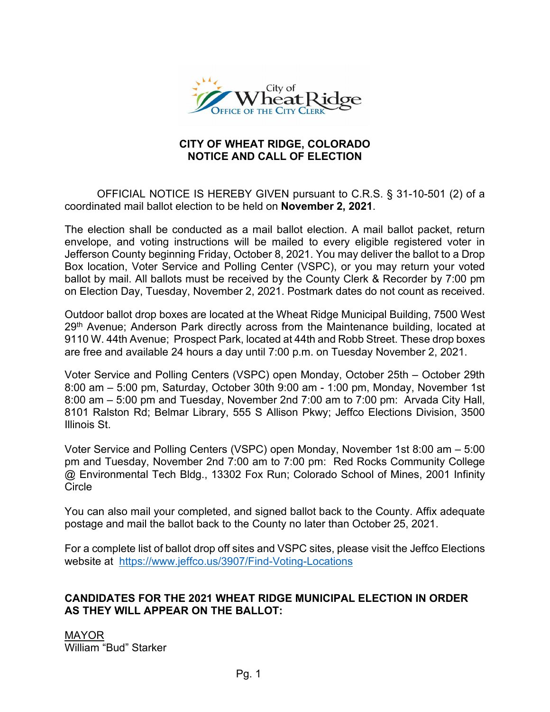

# **CITY OF WHEAT RIDGE, COLORADO NOTICE AND CALL OF ELECTION**

OFFICIAL NOTICE IS HEREBY GIVEN pursuant to C.R.S. § 31-10-501 (2) of a coordinated mail ballot election to be held on **November 2, 2021**.

The election shall be conducted as a mail ballot election. A mail ballot packet, return envelope, and voting instructions will be mailed to every eligible registered voter in Jefferson County beginning Friday, October 8, 2021. You may deliver the ballot to a Drop Box location, Voter Service and Polling Center (VSPC), or you may return your voted ballot by mail. All ballots must be received by the County Clerk & Recorder by 7:00 pm on Election Day, Tuesday, November 2, 2021. Postmark dates do not count as received.

Outdoor ballot drop boxes are located at the Wheat Ridge Municipal Building, 7500 West 29<sup>th</sup> Avenue; Anderson Park directly across from the Maintenance building, located at 9110 W. 44th Avenue; Prospect Park, located at 44th and Robb Street. These drop boxes are free and available 24 hours a day until 7:00 p.m. on Tuesday November 2, 2021.

Voter Service and Polling Centers (VSPC) open Monday, October 25th – October 29th 8:00 am – 5:00 pm, Saturday, October 30th 9:00 am - 1:00 pm, Monday, November 1st 8:00 am – 5:00 pm and Tuesday, November 2nd 7:00 am to 7:00 pm: Arvada City Hall, 8101 Ralston Rd; Belmar Library, 555 S Allison Pkwy; Jeffco Elections Division, 3500 Illinois St.

Voter Service and Polling Centers (VSPC) open Monday, November 1st 8:00 am – 5:00 pm and Tuesday, November 2nd 7:00 am to 7:00 pm: Red Rocks Community College @ Environmental Tech Bldg., 13302 Fox Run; Colorado School of Mines, 2001 Infinity Circle

You can also mail your completed, and signed ballot back to the County. Affix adequate postage and mail the ballot back to the County no later than October 25, 2021.

For a complete list of ballot drop off sites and VSPC sites, please visit the Jeffco Elections website at <https://www.jeffco.us/3907/Find-Voting-Locations>

# **CANDIDATES FOR THE 2021 WHEAT RIDGE MUNICIPAL ELECTION IN ORDER AS THEY WILL APPEAR ON THE BALLOT:**

MAYOR William "Bud" Starker